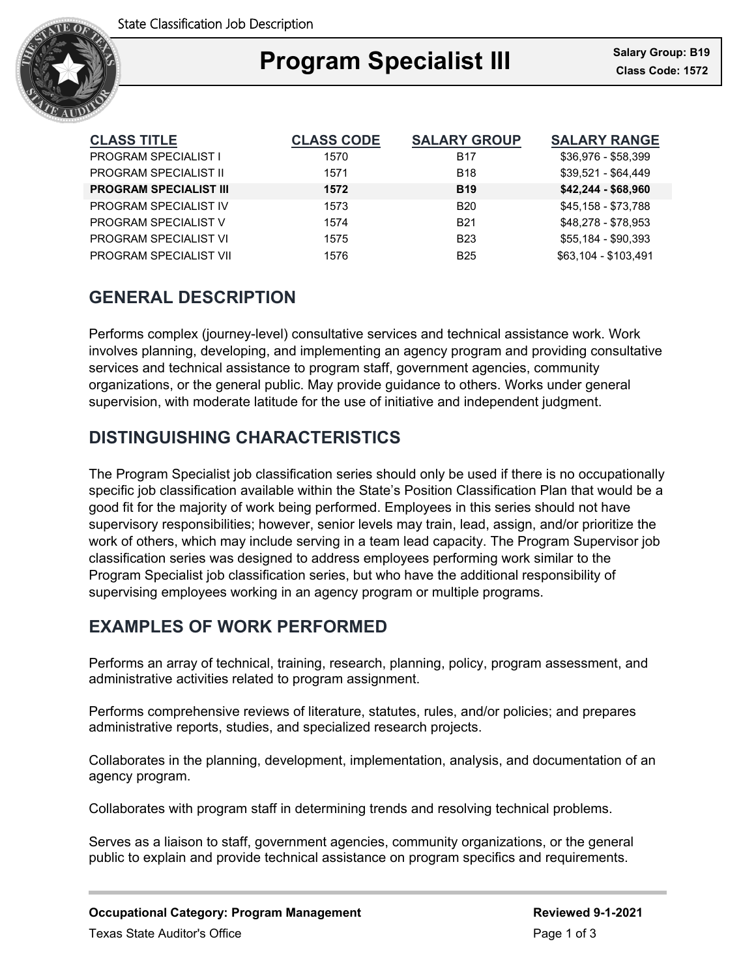

### Ξ **Program Specialist III Class Code: 1572**

| <b>CLASS TITLE</b>            | <b>CLASS CODE</b> | <b>SALARY GROUP</b> | <b>SALARY RANGE</b>  |
|-------------------------------|-------------------|---------------------|----------------------|
| <b>PROGRAM SPECIALIST I</b>   | 1570              | <b>B17</b>          | \$36,976 - \$58,399  |
| <b>PROGRAM SPECIALIST II</b>  | 1571              | <b>B18</b>          | \$39,521 - \$64,449  |
| <b>PROGRAM SPECIALIST III</b> | 1572              | <b>B19</b>          | $$42,244 - $68,960$  |
| PROGRAM SPECIALIST IV         | 1573              | <b>B20</b>          | \$45,158 - \$73,788  |
| PROGRAM SPECIALIST V          | 1574              | <b>B21</b>          | \$48,278 - \$78,953  |
| PROGRAM SPECIALIST VI         | 1575              | <b>B23</b>          | \$55,184 - \$90,393  |
| PROGRAM SPECIALIST VII        | 1576              | <b>B25</b>          | \$63.104 - \$103.491 |

## **GENERAL DESCRIPTION**

Performs complex (journey-level) consultative services and technical assistance work. Work involves planning, developing, and implementing an agency program and providing consultative services and technical assistance to program staff, government agencies, community organizations, or the general public. May provide guidance to others. Works under general supervision, with moderate latitude for the use of initiative and independent judgment.

## **DISTINGUISHING CHARACTERISTICS**

The Program Specialist job classification series should only be used if there is no occupationally specific job classification available within the State's Position Classification Plan that would be a good fit for the majority of work being performed. Employees in this series should not have supervisory responsibilities; however, senior levels may train, lead, assign, and/or prioritize the work of others, which may include serving in a team lead capacity. The Program Supervisor job classification series was designed to address employees performing work similar to the Program Specialist job classification series, but who have the additional responsibility of supervising employees working in an agency program or multiple programs.

# **EXAMPLES OF WORK PERFORMED**

Performs an array of technical, training, research, planning, policy, program assessment, and administrative activities related to program assignment.

Performs comprehensive reviews of literature, statutes, rules, and/or policies; and prepares administrative reports, studies, and specialized research projects.

Collaborates in the planning, development, implementation, analysis, and documentation of an agency program.

Collaborates with program staff in determining trends and resolving technical problems.

Serves as a liaison to staff, government agencies, community organizations, or the general public to explain and provide technical assistance on program specifics and requirements.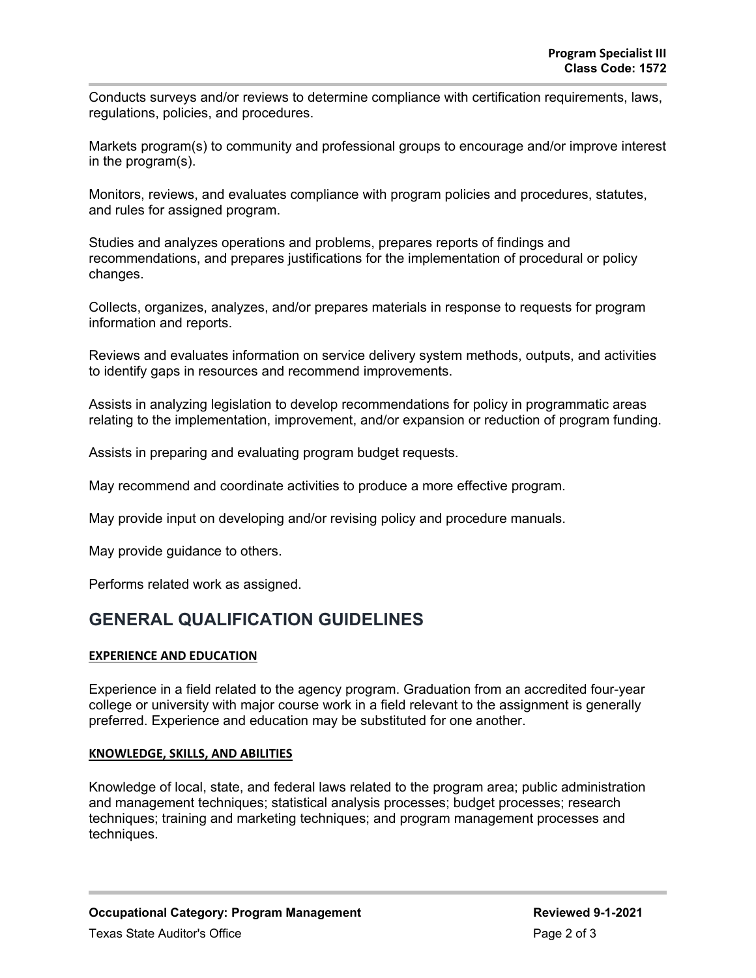Conducts surveys and/or reviews to determine compliance with certification requirements, laws, regulations, policies, and procedures.

Markets program(s) to community and professional groups to encourage and/or improve interest in the program(s).

Monitors, reviews, and evaluates compliance with program policies and procedures, statutes, and rules for assigned program.

Studies and analyzes operations and problems, prepares reports of findings and recommendations, and prepares justifications for the implementation of procedural or policy changes.

Collects, organizes, analyzes, and/or prepares materials in response to requests for program information and reports.

Reviews and evaluates information on service delivery system methods, outputs, and activities to identify gaps in resources and recommend improvements.

Assists in analyzing legislation to develop recommendations for policy in programmatic areas relating to the implementation, improvement, and/or expansion or reduction of program funding.

Assists in preparing and evaluating program budget requests.

May recommend and coordinate activities to produce a more effective program.

May provide input on developing and/or revising policy and procedure manuals.

May provide guidance to others.

Performs related work as assigned.

### **GENERAL QUALIFICATION GUIDELINES**

#### **EXPERIENCE AND EDUCATION**

Experience in a field related to the agency program. Graduation from an accredited four-year college or university with major course work in a field relevant to the assignment is generally preferred. Experience and education may be substituted for one another.

#### **KNOWLEDGE, SKILLS, AND ABILITIES**

Knowledge of local, state, and federal laws related to the program area; public administration and management techniques; statistical analysis processes; budget processes; research techniques; training and marketing techniques; and program management processes and techniques.